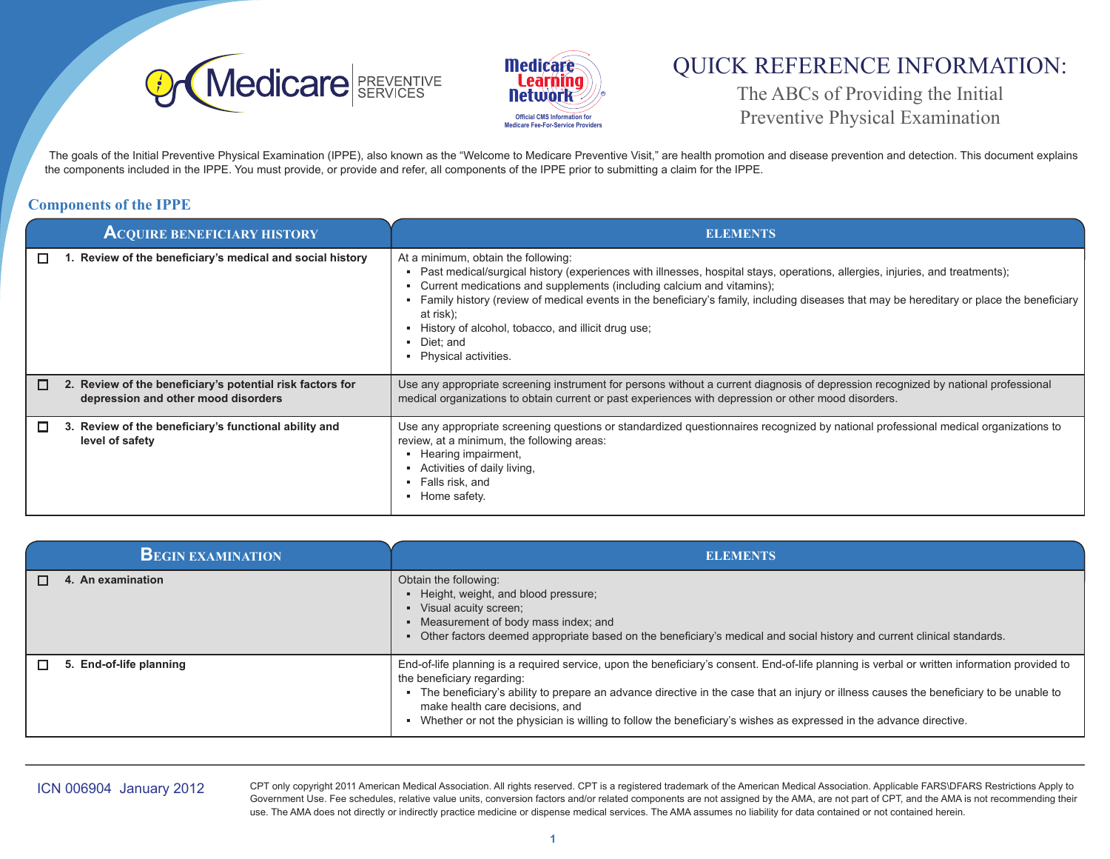



# QUICK REFERENCE INFORMATION:

The ABCs of Providing the Initial Preventive Physical Examination

The goals of the Initial Preventive Physical Examination (IPPE), also known as the "Welcome to Medicare Preventive Visit," are health promotion and disease prevention and detection. This document explains the components included in the IPPE. You must provide, or provide and refer, all components of the IPPE prior to submitting a claim for the IPPE.

### **Components of the IPPE**

| <b>ACQUIRE BENEFICIARY HISTORY</b>                                                                    | <b>ELEMENTS</b>                                                                                                                                                                                                                                                                                                                                                                                                                                                                                  |
|-------------------------------------------------------------------------------------------------------|--------------------------------------------------------------------------------------------------------------------------------------------------------------------------------------------------------------------------------------------------------------------------------------------------------------------------------------------------------------------------------------------------------------------------------------------------------------------------------------------------|
| Review of the beneficiary's medical and social history<br>□                                           | At a minimum, obtain the following:<br>Past medical/surgical history (experiences with illnesses, hospital stays, operations, allergies, injuries, and treatments);<br>Current medications and supplements (including calcium and vitamins);<br>Family history (review of medical events in the beneficiary's family, including diseases that may be hereditary or place the beneficiary<br>at risk);<br>History of alcohol, tobacco, and illicit drug use;<br>Diet: and<br>Physical activities. |
| 2. Review of the beneficiary's potential risk factors for<br>О<br>depression and other mood disorders | Use any appropriate screening instrument for persons without a current diagnosis of depression recognized by national professional<br>medical organizations to obtain current or past experiences with depression or other mood disorders.                                                                                                                                                                                                                                                       |
| 3. Review of the beneficiary's functional ability and<br>level of safety                              | Use any appropriate screening questions or standardized questionnaires recognized by national professional medical organizations to<br>review, at a minimum, the following areas:<br>Hearing impairment,<br>Activities of daily living,<br>• Falls risk, and<br>Home safety.                                                                                                                                                                                                                     |

| <b>BEGIN EXAMINATION</b> | <b>ELEMENTS</b>                                                                                                                                                                                                                                                                                                                                                                                                                                                                   |
|--------------------------|-----------------------------------------------------------------------------------------------------------------------------------------------------------------------------------------------------------------------------------------------------------------------------------------------------------------------------------------------------------------------------------------------------------------------------------------------------------------------------------|
| 4. An examination        | Obtain the following:<br>• Height, weight, and blood pressure;<br>• Visual acuity screen;<br>• Measurement of body mass index; and<br>Other factors deemed appropriate based on the beneficiary's medical and social history and current clinical standards.                                                                                                                                                                                                                      |
| 5. End-of-life planning  | End-of-life planning is a required service, upon the beneficiary's consent. End-of-life planning is verbal or written information provided to<br>the beneficiary regarding:<br>- The beneficiary's ability to prepare an advance directive in the case that an injury or illness causes the beneficiary to be unable to<br>make health care decisions, and<br>• Whether or not the physician is willing to follow the beneficiary's wishes as expressed in the advance directive. |

ICN 006904 January 2012 CPT only copyright 2011 American Medical Association. All rights reserved. CPT is a registered trademark of the American Medical Association. Applicable FARS\DFARS Restrictions Apply to Government Use. Fee schedules, relative value units, conversion factors and/or related components are not assigned by the AMA, are not part of CPT, and the AMA is not recommending their use. The AMA does not directly or indirectly practice medicine or dispense medical services. The AMA assumes no liability for data contained or not contained herein.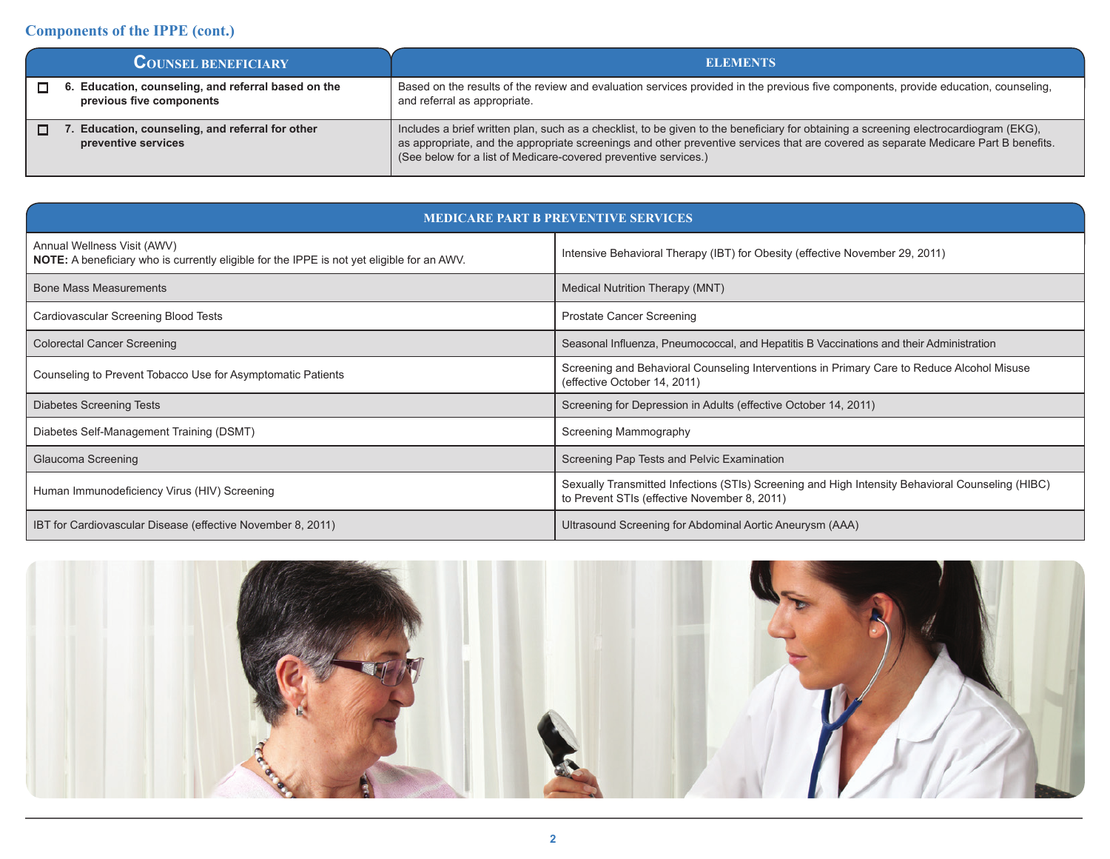### **Components of the IPPE (cont.)**

| <b>COUNSEL BENEFICIARY</b>                                                   | <b>ELEMENTS</b>                                                                                                                                                                                                                                                                                                                                 |
|------------------------------------------------------------------------------|-------------------------------------------------------------------------------------------------------------------------------------------------------------------------------------------------------------------------------------------------------------------------------------------------------------------------------------------------|
| Education, counseling, and referral based on the<br>previous five components | Based on the results of the review and evaluation services provided in the previous five components, provide education, counseling,<br>and referral as appropriate.                                                                                                                                                                             |
| Education, counseling, and referral for other<br>preventive services         | Includes a brief written plan, such as a checklist, to be given to the beneficiary for obtaining a screening electrocardiogram (EKG),<br>as appropriate, and the appropriate screenings and other preventive services that are covered as separate Medicare Part B benefits.<br>(See below for a list of Medicare-covered preventive services.) |

| <b>MEDICARE PART B PREVENTIVE SERVICES</b>                                                                                       |                                                                                                                                                  |  |  |  |
|----------------------------------------------------------------------------------------------------------------------------------|--------------------------------------------------------------------------------------------------------------------------------------------------|--|--|--|
| Annual Wellness Visit (AWV)<br><b>NOTE:</b> A beneficiary who is currently eligible for the IPPE is not yet eligible for an AWV. | Intensive Behavioral Therapy (IBT) for Obesity (effective November 29, 2011)                                                                     |  |  |  |
| <b>Bone Mass Measurements</b>                                                                                                    | Medical Nutrition Therapy (MNT)                                                                                                                  |  |  |  |
| Cardiovascular Screening Blood Tests                                                                                             | <b>Prostate Cancer Screening</b>                                                                                                                 |  |  |  |
| <b>Colorectal Cancer Screening</b>                                                                                               | Seasonal Influenza, Pneumococcal, and Hepatitis B Vaccinations and their Administration                                                          |  |  |  |
| Counseling to Prevent Tobacco Use for Asymptomatic Patients                                                                      | Screening and Behavioral Counseling Interventions in Primary Care to Reduce Alcohol Misuse<br>(effective October 14, 2011)                       |  |  |  |
| Diabetes Screening Tests                                                                                                         | Screening for Depression in Adults (effective October 14, 2011)                                                                                  |  |  |  |
| Diabetes Self-Management Training (DSMT)                                                                                         | Screening Mammography                                                                                                                            |  |  |  |
| Glaucoma Screening                                                                                                               | Screening Pap Tests and Pelvic Examination                                                                                                       |  |  |  |
| Human Immunodeficiency Virus (HIV) Screening                                                                                     | Sexually Transmitted Infections (STIs) Screening and High Intensity Behavioral Counseling (HIBC)<br>to Prevent STIs (effective November 8, 2011) |  |  |  |
| IBT for Cardiovascular Disease (effective November 8, 2011)                                                                      | Ultrasound Screening for Abdominal Aortic Aneurysm (AAA)                                                                                         |  |  |  |

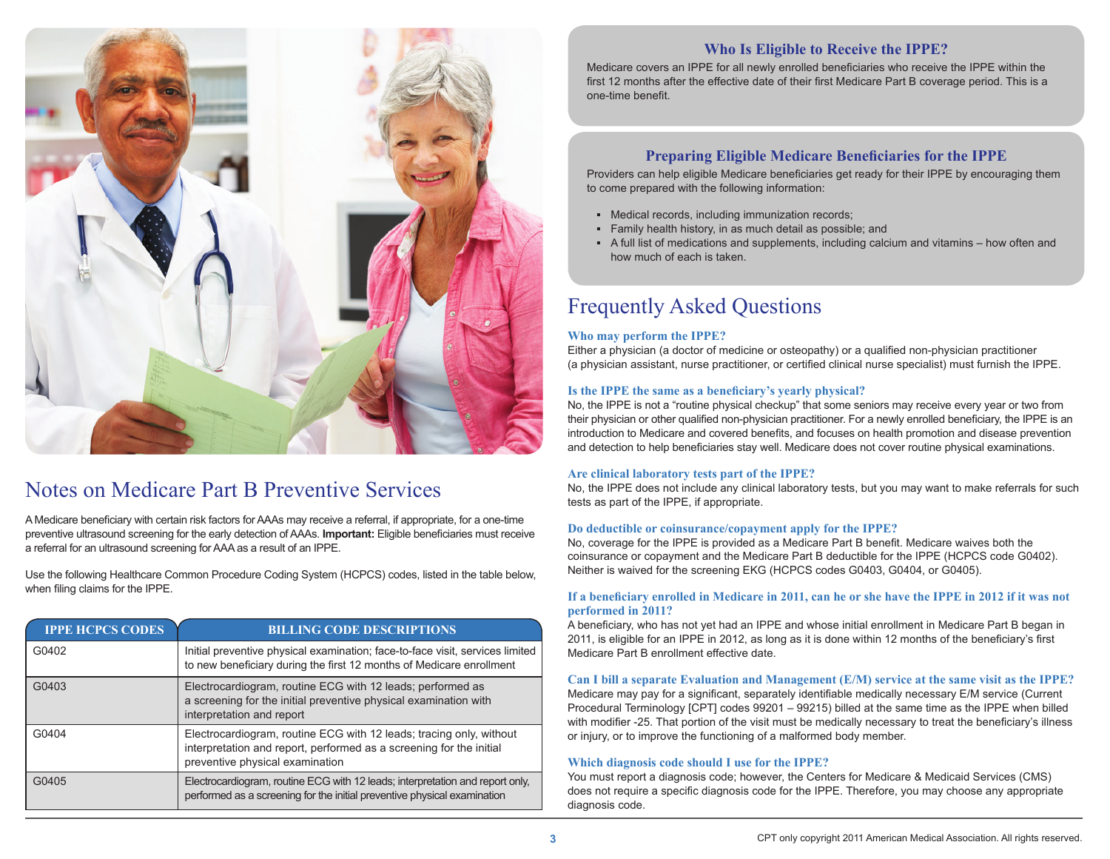

### Notes on Medicare Part B Preventive Services

A Medicare beneficiary with certain risk factors for AAAs may receive a referral, if appropriate, for a one-time preventive ultrasound screening for the early detection of AAAs. **Important:** Eligible beneficiaries must receive a referral for an ultrasound screening for AAAas a result of an IPPE.

Use the following Healthcare Common Procedure Coding System (HCPCS) codes, listed in the table below, when filing claims for the IPPE.

| <b>IPPE HCPCS CODES</b> | <b>BILLING CODE DESCRIPTIONS</b>                                                                                                                                              |
|-------------------------|-------------------------------------------------------------------------------------------------------------------------------------------------------------------------------|
| G0402                   | Initial preventive physical examination; face-to-face visit, services limited<br>to new beneficiary during the first 12 months of Medicare enrollment                         |
| G0403                   | Electrocardiogram, routine ECG with 12 leads; performed as<br>a screening for the initial preventive physical examination with<br>interpretation and report                   |
| G0404                   | Electrocardiogram, routine ECG with 12 leads; tracing only, without<br>interpretation and report, performed as a screening for the initial<br>preventive physical examination |
| G0405                   | Electrocardiogram, routine ECG with 12 leads; interpretation and report only,<br>performed as a screening for the initial preventive physical examination                     |

#### **Who Is Eligible to Receive the IPPE?**

Medicare covers an IPPE for all newly enrolled beneficiaries who receive the IPPE within the first 12 months after the effective date of their first Medicare Part B coverage period. This is a one-time benefit.

### **Preparing Eligible Medicare Beneficiaries for the IPPE**

Providers can help eligible Medicare beneficiaries get ready for their IPPE by encouraging them to come prepared with the following information:

- **▪** Medical records, including immunization records;
- Family health history, in as much detail as possible; and
- A full list of medications and supplements, including calcium and vitamins how often and how much of each is taken.

## Frequently Asked Questions

#### **Who may perform the IPPE?**

Either a physician (a doctor of medicine or osteopathy) or a qualified non-physician practitioner (a physician assistant, nurse practitioner, or certified clinical nurse specialist) must furnish the IPPE.

#### **Is the IPPE the same as a beneficiary's yearly physical?**

No, the IPPE is not a "routine physical checkup" that some seniors may receive every year or two from their physician or other qualified non-physician practitioner. For a newly enrolled beneficiary, the IPPE is an introduction to Medicare and covered benefits, and focuses on health promotion and disease prevention and detection to help beneficiaries stay well. Medicare does not cover routine physical examinations.

#### **Are clinical laboratory tests part of the IPPE?**

No, the IPPE does not include any clinical laboratory tests, but you may want to make referrals for such tests as part of the IPPE, if appropriate.

#### **Do deductible or coinsurance/copayment apply for the IPPE?**

No, coverage for the IPPE is provided as a Medicare Part B benefit. Medicare waives both the coinsurance or copayment and the Medicare Part B deductible for the IPPE (HCPCS code G0402). Neither is waived for the screening EKG (HCPCS codes G0403, G0404, or G0405).

#### **If a beneficiary enrolled in Medicare in 2011, can he or she have the IPPE in 2012 if it was not performed in 2011?**

A beneficiary, who has not yet had an IPPE and whose initial enrollment in Medicare Part B began in 2011, is eligible for an IPPE in 2012, as long as it is done within 12 months of the beneficiary's first Medicare Part B enrollment effective date.

#### **Can I bill a separate Evaluation and Management (E/M) service at the same visit as the IPPE?**

Medicare may pay for a significant, separately identifiable medically necessary E/M service (Current Procedural Terminology [CPT] codes 99201 – 99215) billed at the same time as the IPPE when billed with modifier -25. That portion of the visit must be medically necessary to treat the beneficiary's illness or injury, or to improve the functioning of a malformed body member.

#### **Which diagnosis code should I use for the IPPE?**

You must report a diagnosis code; however, the Centers for Medicare & Medicaid Services (CMS) does not require a specific diagnosis code for the IPPE. Therefore, you may choose any appropriate diagnosis code.